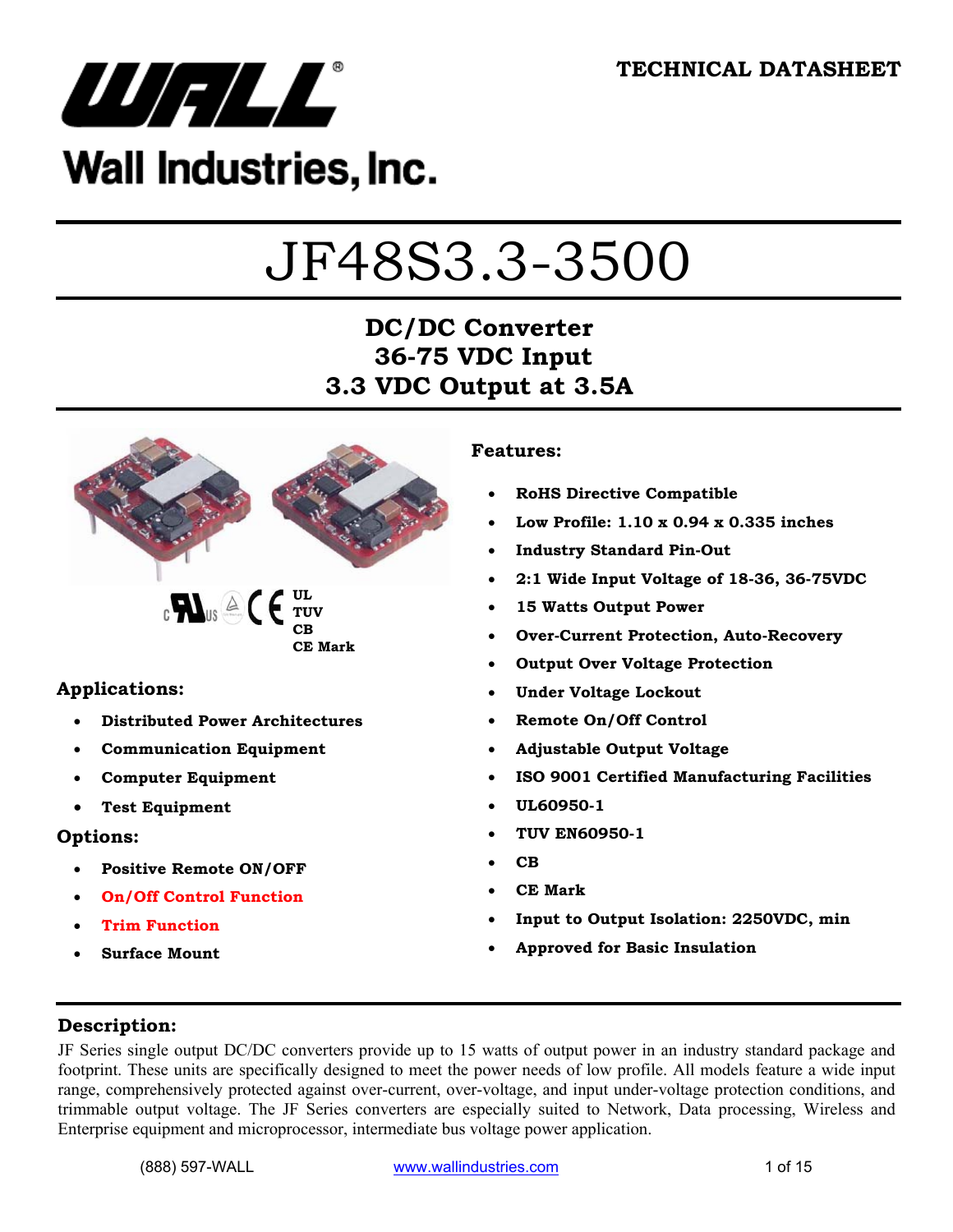

# Wall Industries, Inc.

# JF48S3.3-3500

# **DC/DC Converter 36-75 VDC Input 3.3 VDC Output at 3.5A**



### **Applications:**

- **Distributed Power Architectures**
- **Communication Equipment**
- **Computer Equipment**
- **Test Equipment**

#### **Options:**

- **Positive Remote ON/OFF**
- **On/Off Control Function**
- **Trim Function**
- **Surface Mount**

#### **Features:**

- **RoHS Directive Compatible**
- **Low Profile: 1.10 x 0.94 x 0.335 inches**
- **Industry Standard Pin-Out**
- **2:1 Wide Input Voltage of 18-36, 36-75VDC**
- **15 Watts Output Power**
- **Over-Current Protection, Auto-Recovery**
- **Output Over Voltage Protection**
- **Under Voltage Lockout**
- **Remote On/Off Control**
- **Adjustable Output Voltage**
- **ISO 9001 Certified Manufacturing Facilities**
- **UL60950-1**
- **TUV EN60950-1**
- **CB**
- **CE Mark**
- **Input to Output Isolation: 2250VDC, min**
- **Approved for Basic Insulation**

#### **Description:**

JF Series single output DC/DC converters provide up to 15 watts of output power in an industry standard package and footprint. These units are specifically designed to meet the power needs of low profile. All models feature a wide input range, comprehensively protected against over-current, over-voltage, and input under-voltage protection conditions, and trimmable output voltage. The JF Series converters are especially suited to Network, Data processing, Wireless and Enterprise equipment and microprocessor, intermediate bus voltage power application.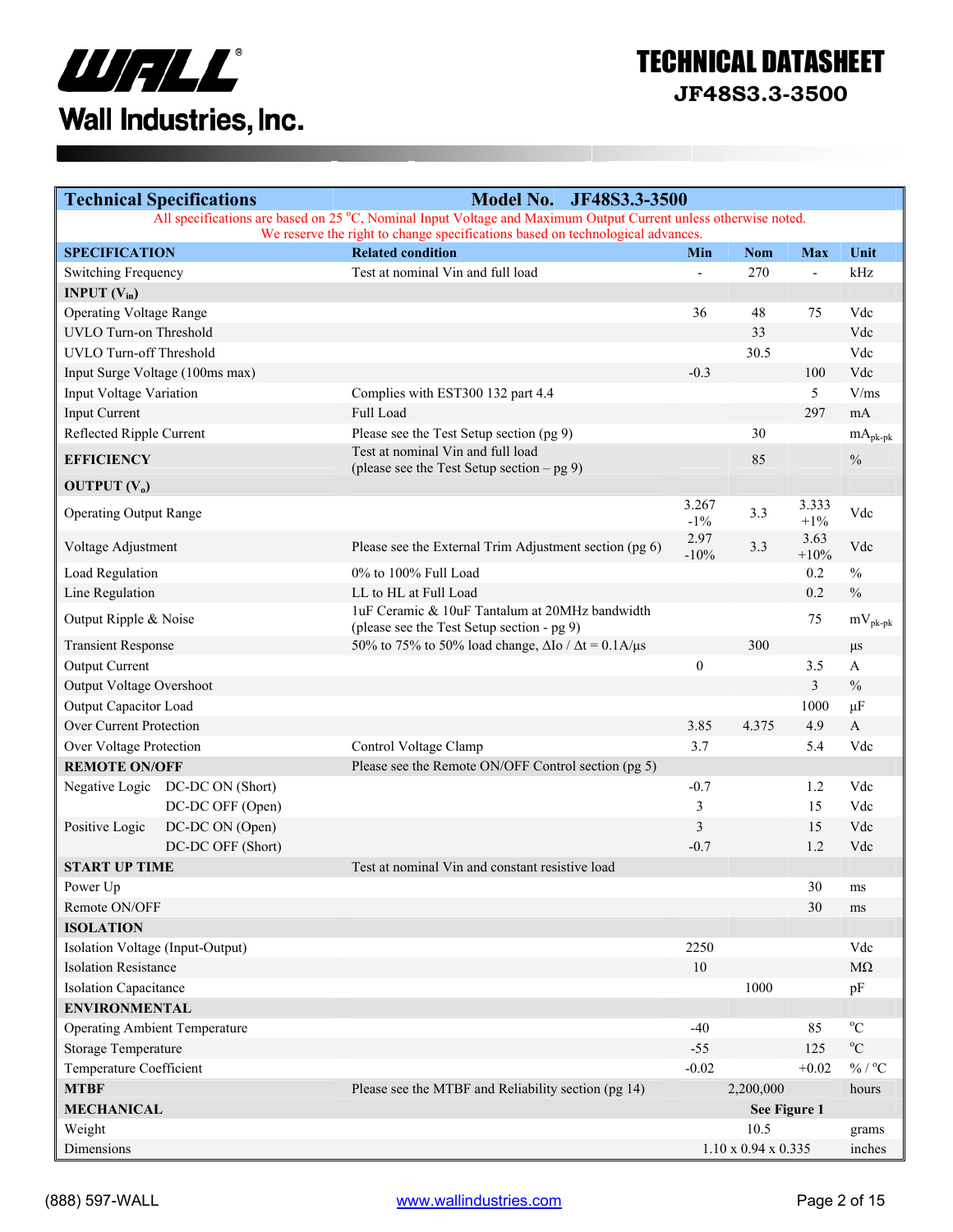

# TECHNICAL DATASHEET

**JF48S3.3-3500** 

| <b>Technical Specifications</b>      | <b>Model No.</b><br>JF48S3.3-3500                                                                               |                  |                                 |                          |                         |
|--------------------------------------|-----------------------------------------------------------------------------------------------------------------|------------------|---------------------------------|--------------------------|-------------------------|
|                                      | All specifications are based on 25 °C, Nominal Input Voltage and Maximum Output Current unless otherwise noted. |                  |                                 |                          |                         |
| <b>SPECIFICATION</b>                 | We reserve the right to change specifications based on technological advances.<br><b>Related condition</b>      | Min              | <b>Nom</b>                      | <b>Max</b>               | Unit                    |
| Switching Frequency                  | Test at nominal Vin and full load                                                                               | $\blacksquare$   | 270                             | $\overline{\phantom{a}}$ | kHz                     |
| <b>INPUT</b> $(V_{in})$              |                                                                                                                 |                  |                                 |                          |                         |
| <b>Operating Voltage Range</b>       |                                                                                                                 | 36               | 48                              | 75                       | Vdc                     |
| UVLO Turn-on Threshold               |                                                                                                                 |                  | 33                              |                          | Vdc                     |
| <b>UVLO Turn-off Threshold</b>       |                                                                                                                 |                  | 30.5                            |                          | Vdc                     |
| Input Surge Voltage (100ms max)      |                                                                                                                 | $-0.3$           |                                 | 100                      | Vdc                     |
| Input Voltage Variation              | Complies with EST300 132 part 4.4                                                                               |                  |                                 | 5 <sup>5</sup>           | V/ms                    |
| <b>Input Current</b>                 | Full Load                                                                                                       |                  |                                 | 297                      | mA                      |
|                                      |                                                                                                                 |                  | 30                              |                          |                         |
| Reflected Ripple Current             | Please see the Test Setup section (pg 9)<br>Test at nominal Vin and full load                                   |                  |                                 |                          | $mA_{pk\text{-}pk}$     |
| <b>EFFICIENCY</b>                    | (please see the Test Setup section $-$ pg 9)                                                                    |                  | 85                              |                          | $\frac{0}{0}$           |
| <b>OUTPUT</b> $(V_0)$                |                                                                                                                 |                  |                                 |                          |                         |
| <b>Operating Output Range</b>        |                                                                                                                 | 3.267<br>$-1\%$  | 3.3                             | 3.333<br>$+1\%$          | Vdc                     |
| Voltage Adjustment                   | Please see the External Trim Adjustment section (pg 6)                                                          | 2.97<br>$-10%$   | 3.3                             | 3.63<br>$+10%$           | Vdc                     |
| Load Regulation                      | 0% to 100% Full Load                                                                                            |                  |                                 | 0.2                      | $\frac{0}{0}$           |
| Line Regulation                      | LL to HL at Full Load                                                                                           |                  |                                 | 0.2                      | $\frac{0}{0}$           |
| Output Ripple & Noise                | 1uF Ceramic & 10uF Tantalum at 20MHz bandwidth<br>(please see the Test Setup section - pg 9)                    |                  |                                 | 75                       | $mV_{\rm pk\mbox{-}pk}$ |
| <b>Transient Response</b>            | 50% to 75% to 50% load change, $\Delta I$ o / $\Delta t$ = 0.1A/ $\mu$ s                                        |                  | 300                             |                          | $\mu s$                 |
| Output Current                       |                                                                                                                 | $\boldsymbol{0}$ |                                 | 3.5                      | A                       |
| Output Voltage Overshoot             |                                                                                                                 |                  |                                 | 3                        | $\frac{0}{0}$           |
| Output Capacitor Load                |                                                                                                                 |                  |                                 | 1000                     | $\mu$ F                 |
| Over Current Protection              |                                                                                                                 | 3.85             | 4.375                           | 4.9                      | $\mathbf{A}$            |
| Over Voltage Protection              | Control Voltage Clamp                                                                                           | 3.7              |                                 | 5.4                      | Vdc                     |
| <b>REMOTE ON/OFF</b>                 | Please see the Remote ON/OFF Control section (pg 5)                                                             |                  |                                 |                          |                         |
| Negative Logic DC-DC ON (Short)      |                                                                                                                 | $-0.7$           |                                 | 1.2                      | Vdc                     |
| DC-DC OFF (Open)                     |                                                                                                                 | 3                |                                 | 15                       | Vdc                     |
| Positive Logic<br>DC-DC ON (Open)    |                                                                                                                 | 3                |                                 | 15                       | Vdc                     |
| DC-DC OFF (Short)                    |                                                                                                                 | $-0.7$           |                                 | 1.2                      | Vdc                     |
| <b>START UP TIME</b>                 | Test at nominal Vin and constant resistive load                                                                 |                  |                                 |                          |                         |
| Power Up                             |                                                                                                                 |                  |                                 | 30                       | ms                      |
| Remote ON/OFF                        |                                                                                                                 |                  |                                 | 30                       | ms                      |
| <b>ISOLATION</b>                     |                                                                                                                 |                  |                                 |                          |                         |
| Isolation Voltage (Input-Output)     |                                                                                                                 | 2250             |                                 |                          | Vdc                     |
| <b>Isolation Resistance</b>          |                                                                                                                 | 10               |                                 |                          | $M\Omega$               |
| <b>Isolation Capacitance</b>         |                                                                                                                 |                  | 1000                            |                          | pF                      |
| <b>ENVIRONMENTAL</b>                 |                                                                                                                 |                  |                                 |                          |                         |
| <b>Operating Ambient Temperature</b> |                                                                                                                 | $-40$            |                                 | 85                       | $^0\mathrm{C}$          |
| Storage Temperature                  |                                                                                                                 | $-55$            |                                 | 125                      | $\rm ^{o}C$             |
| Temperature Coefficient              |                                                                                                                 | $-0.02$          |                                 | $+0.02$                  | $\%$ / $^{\rm o}C$      |
| <b>MTBF</b>                          | Please see the MTBF and Reliability section (pg 14)                                                             |                  | 2,200,000                       |                          | hours                   |
| <b>MECHANICAL</b>                    |                                                                                                                 |                  | See Figure 1                    |                          |                         |
| Weight                               |                                                                                                                 |                  | 10.5                            |                          |                         |
| Dimensions                           |                                                                                                                 |                  |                                 |                          | grams<br>inches         |
|                                      |                                                                                                                 |                  | $1.10 \times 0.94 \times 0.335$ |                          |                         |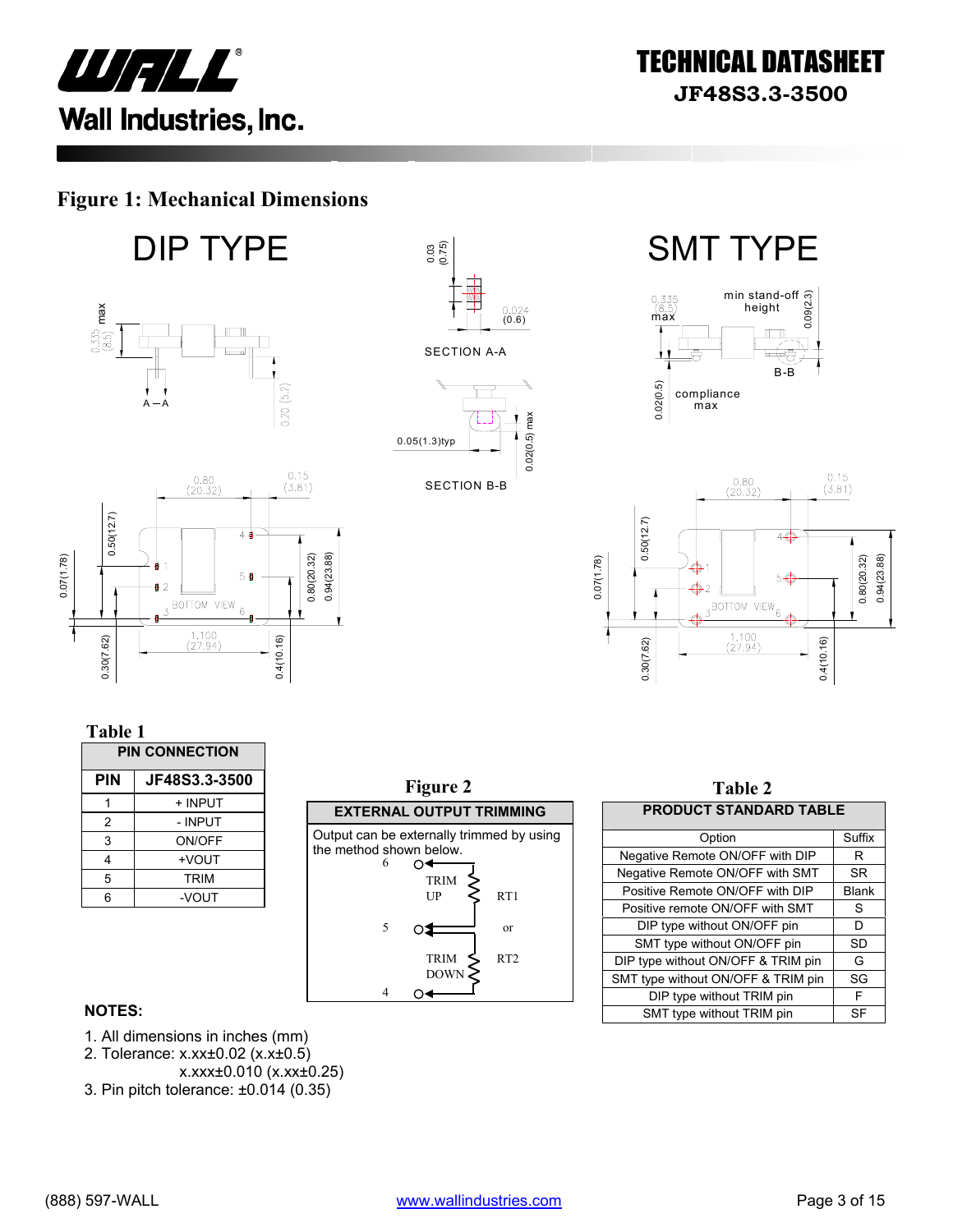

### **Figure 1: Mechanical Dimensions**

**DIP TYPE**  $\frac{1}{2}$   $\frac{1}{2}$   $\frac{1}{2}$  SMT TYPE



0.4(10.16)

5 ₿

BOTTOM VIEW  $_6$ 

 $\frac{1.100}{(27.94)}$ 







| m | U |  |
|---|---|--|
|   |   |  |

0.30(7.62)

↑

| <b>PIN CONNECTION</b> |             |  |
|-----------------------|-------------|--|
| JF48S3.3-3500<br>PIN  |             |  |
|                       | + INPUT     |  |
| 2                     | - INPUT     |  |
| 3                     | ON/OFF      |  |
| 4                     | +VOUT       |  |
| 5                     | <b>TRIM</b> |  |
| 6                     | -VOUT       |  |



| Table 2                            |              |  |  |
|------------------------------------|--------------|--|--|
| <b>PRODUCT STANDARD TABLE</b>      |              |  |  |
| Option                             | Suffix       |  |  |
| Negative Remote ON/OFF with DIP    | R            |  |  |
| Negative Remote ON/OFF with SMT    | <b>SR</b>    |  |  |
| Positive Remote ON/OFF with DIP    | <b>Blank</b> |  |  |
| Positive remote ON/OFF with SMT    | S            |  |  |
| DIP type without ON/OFF pin        | D            |  |  |
| SMT type without ON/OFF pin        | SD           |  |  |
| DIP type without ON/OFF & TRIM pin | G            |  |  |
| SMT type without ON/OFF & TRIM pin | SG           |  |  |
| DIP type without TRIM pin          | F            |  |  |
| SMT type without TRIM pin          | SF           |  |  |

#### **NOTES:**

- 1. All dimensions in inches (mm)
- 2. Tolerance: x.xx±0.02 (x.x±0.5)
- x.xxx±0.010 (x.xx±0.25)
- 3. Pin pitch tolerance: ±0.014 (0.35)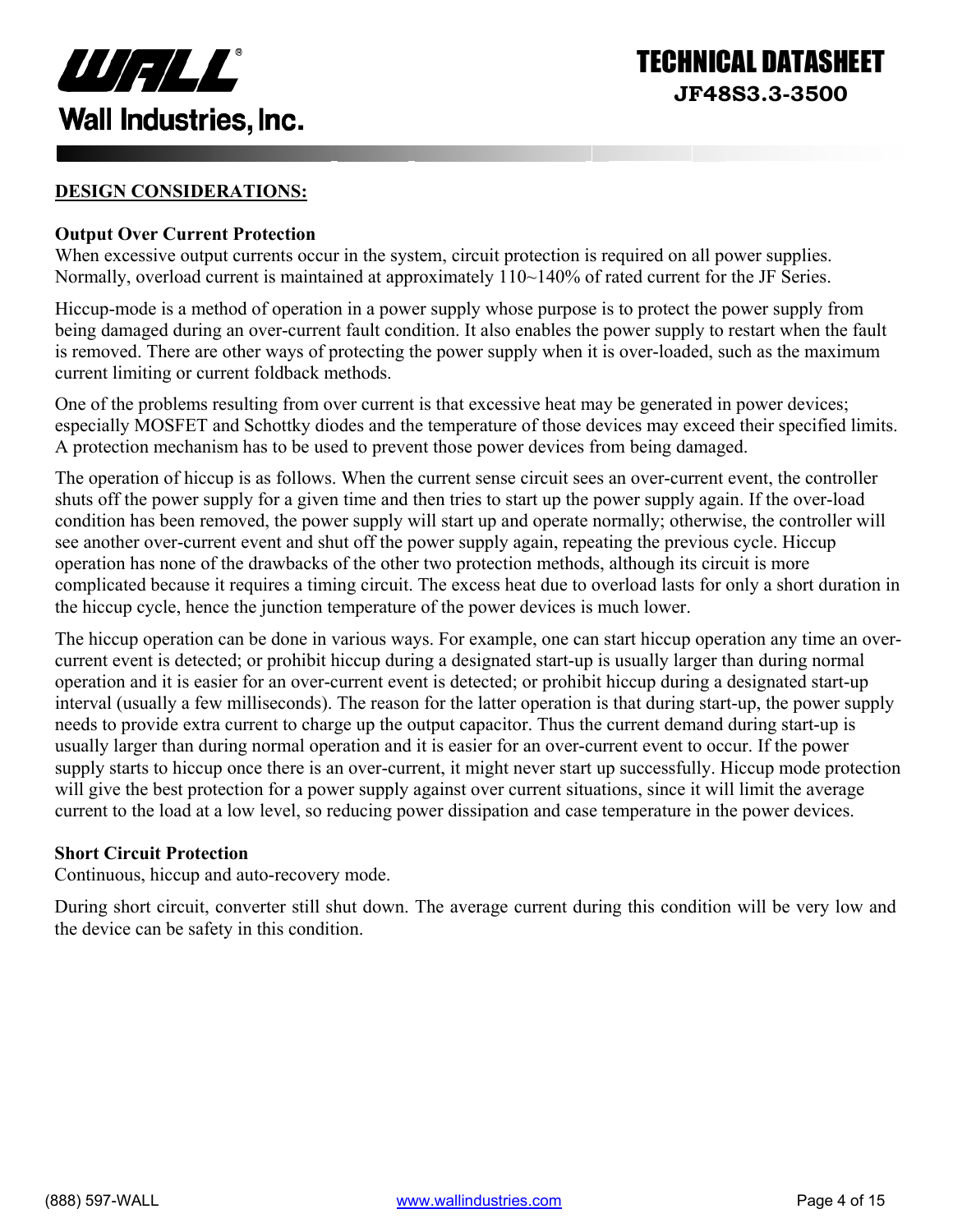

#### **DESIGN CONSIDERATIONS:**

#### **Output Over Current Protection**

When excessive output currents occur in the system, circuit protection is required on all power supplies. Normally, overload current is maintained at approximately 110~140% of rated current for the JF Series.

Hiccup-mode is a method of operation in a power supply whose purpose is to protect the power supply from being damaged during an over-current fault condition. It also enables the power supply to restart when the fault is removed. There are other ways of protecting the power supply when it is over-loaded, such as the maximum current limiting or current foldback methods.

One of the problems resulting from over current is that excessive heat may be generated in power devices; especially MOSFET and Schottky diodes and the temperature of those devices may exceed their specified limits. A protection mechanism has to be used to prevent those power devices from being damaged.

The operation of hiccup is as follows. When the current sense circuit sees an over-current event, the controller shuts off the power supply for a given time and then tries to start up the power supply again. If the over-load condition has been removed, the power supply will start up and operate normally; otherwise, the controller will see another over-current event and shut off the power supply again, repeating the previous cycle. Hiccup operation has none of the drawbacks of the other two protection methods, although its circuit is more complicated because it requires a timing circuit. The excess heat due to overload lasts for only a short duration in the hiccup cycle, hence the junction temperature of the power devices is much lower.

The hiccup operation can be done in various ways. For example, one can start hiccup operation any time an overcurrent event is detected; or prohibit hiccup during a designated start-up is usually larger than during normal operation and it is easier for an over-current event is detected; or prohibit hiccup during a designated start-up interval (usually a few milliseconds). The reason for the latter operation is that during start-up, the power supply needs to provide extra current to charge up the output capacitor. Thus the current demand during start-up is usually larger than during normal operation and it is easier for an over-current event to occur. If the power supply starts to hiccup once there is an over-current, it might never start up successfully. Hiccup mode protection will give the best protection for a power supply against over current situations, since it will limit the average current to the load at a low level, so reducing power dissipation and case temperature in the power devices.

#### **Short Circuit Protection**

Continuous, hiccup and auto-recovery mode.

During short circuit, converter still shut down. The average current during this condition will be very low and the device can be safety in this condition.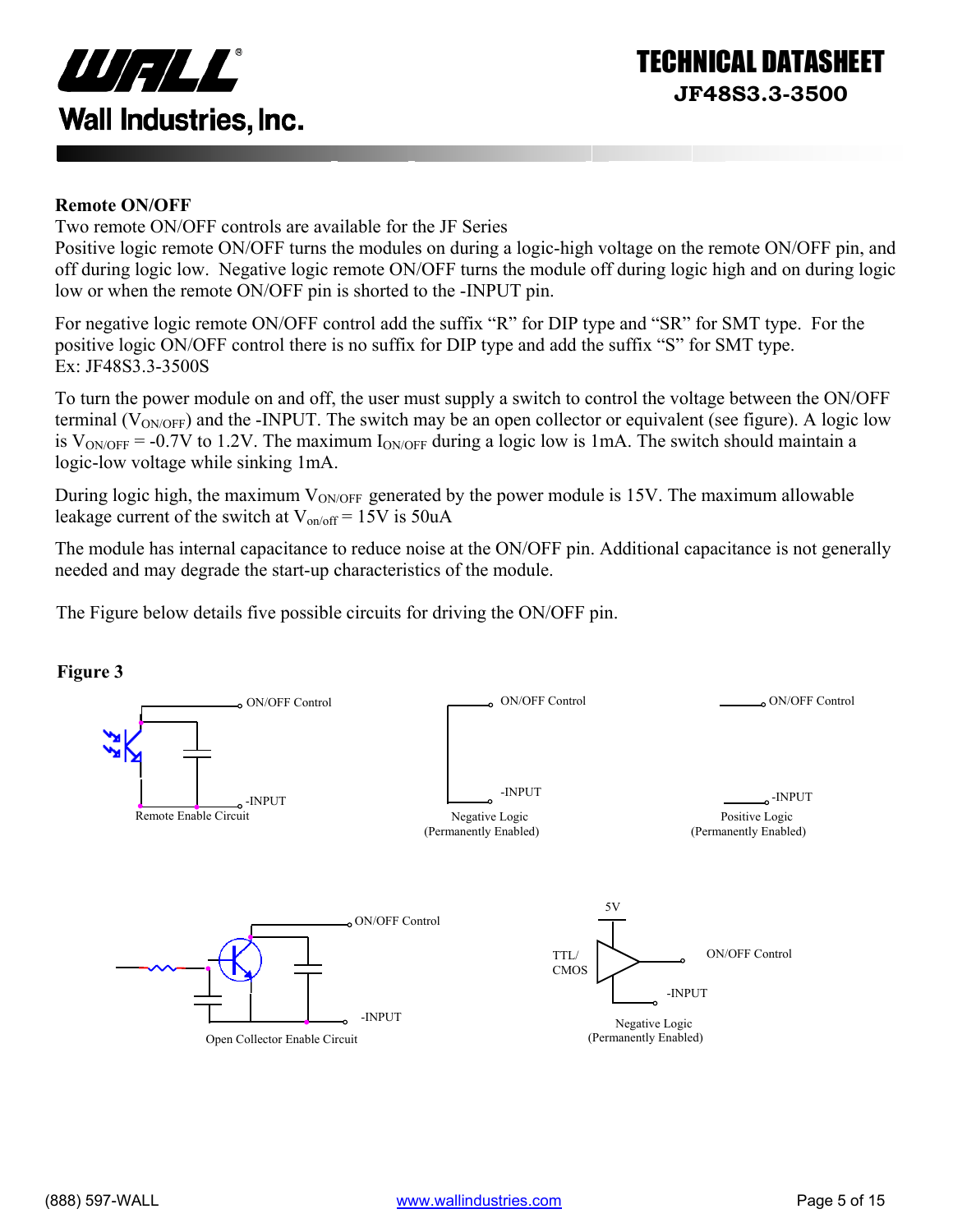

#### **Remote ON/OFF**

Two remote ON/OFF controls are available for the JF Series

Positive logic remote ON/OFF turns the modules on during a logic-high voltage on the remote ON/OFF pin, and off during logic low. Negative logic remote ON/OFF turns the module off during logic high and on during logic low or when the remote ON/OFF pin is shorted to the -INPUT pin.

For negative logic remote ON/OFF control add the suffix "R" for DIP type and "SR" for SMT type. For the positive logic ON/OFF control there is no suffix for DIP type and add the suffix "S" for SMT type. Ex: JF48S3.3-3500S

To turn the power module on and off, the user must supply a switch to control the voltage between the ON/OFF terminal ( $V_{\text{ONOFF}}$ ) and the -INPUT. The switch may be an open collector or equivalent (see figure). A logic low is  $V_{\text{ON/OFF}}$  = -0.7V to 1.2V. The maximum  $I_{\text{ON/OFF}}$  during a logic low is 1mA. The switch should maintain a logic-low voltage while sinking 1mA.

During logic high, the maximum  $V_{ON/OFF}$  generated by the power module is 15V. The maximum allowable leakage current of the switch at  $V_{on/off} = 15V$  is 50uA

The module has internal capacitance to reduce noise at the ON/OFF pin. Additional capacitance is not generally needed and may degrade the start-up characteristics of the module.

The Figure below details five possible circuits for driving the ON/OFF pin.



#### **Figure 3**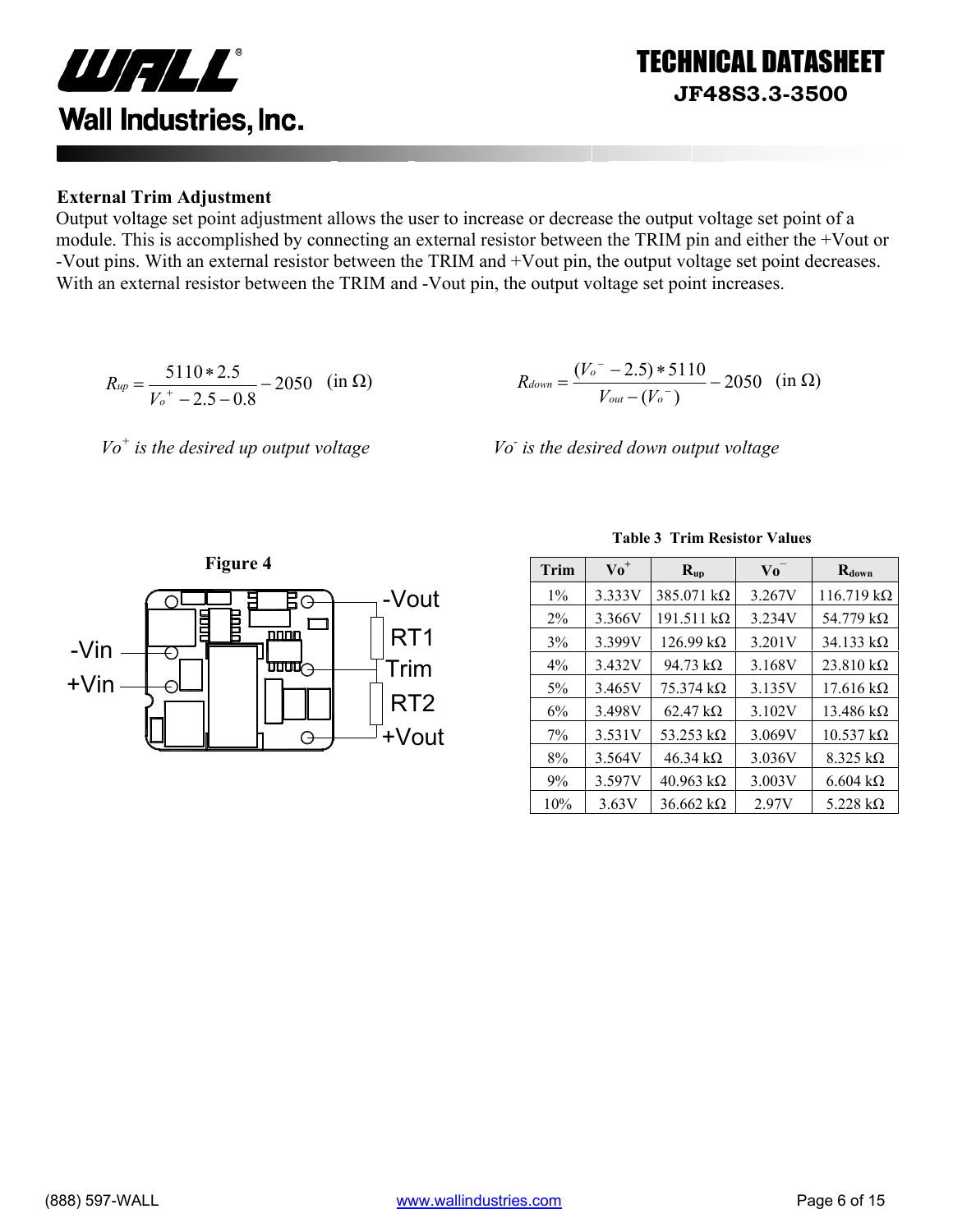

Output voltage set point adjustment allows the user to increase or decrease the output voltage set point of a module. This is accomplished by connecting an external resistor between the TRIM pin and either the +Vout or -Vout pins. With an external resistor between the TRIM and +Vout pin, the output voltage set point decreases. With an external resistor between the TRIM and -Vout pin, the output voltage set point increases.

$$
R_{up} = \frac{5110 * 2.5}{V_0^+ - 2.5 - 0.8} - 2050 \quad \text{(in } \Omega\text{)}
$$



*Vo+ is the desired up output voltage Vo-*

 *is the desired down output voltage* 



|  |  | <b>Table 3 Trim Resistor Values</b> |  |
|--|--|-------------------------------------|--|
|--|--|-------------------------------------|--|

TECHNICAL DATASHEET

**JF48S3.3-3500** 

| Trim  | $\mathbf{V} \mathbf{o}^+$ | $R_{up}$                  | Vo     | $R_{down}$                |
|-------|---------------------------|---------------------------|--------|---------------------------|
| $1\%$ | 3.333V                    | $385.071 \text{ k}\Omega$ | 3.267V | $116.719 \text{ k}\Omega$ |
| $2\%$ | 3.366V                    | $191.511 k\Omega$         | 3.234V | 54.779 $k\Omega$          |
| 3%    | 3.399V                    | $126.99 \text{ k}\Omega$  | 3.201V | $34.133 \text{ k}\Omega$  |
| $4\%$ | 3.432V                    | 94.73 $k\Omega$           | 3.168V | $23.810 k\Omega$          |
| $5\%$ | 3.465V                    | $75.374 \text{ k}\Omega$  | 3.135V | $17.616 \text{ k}\Omega$  |
| 6%    | 3.498V                    | $62.47 \text{ k}\Omega$   | 3.102V | $13.486 \text{ k}\Omega$  |
| 7%    | 3.531V                    | 53.253 $k\Omega$          | 3.069V | $10.537 k\Omega$          |
| 8%    | 3.564V                    | $46.34 \text{ k}\Omega$   | 3.036V | $8.325 k\Omega$           |
| 9%    | 3.597V                    | 40.963 $k\Omega$          | 3.003V | $6.604 \text{ k}\Omega$   |
| 10%   | 3.63V                     | $36.662 k\Omega$          | 2.97V  | 5.228 $k\Omega$           |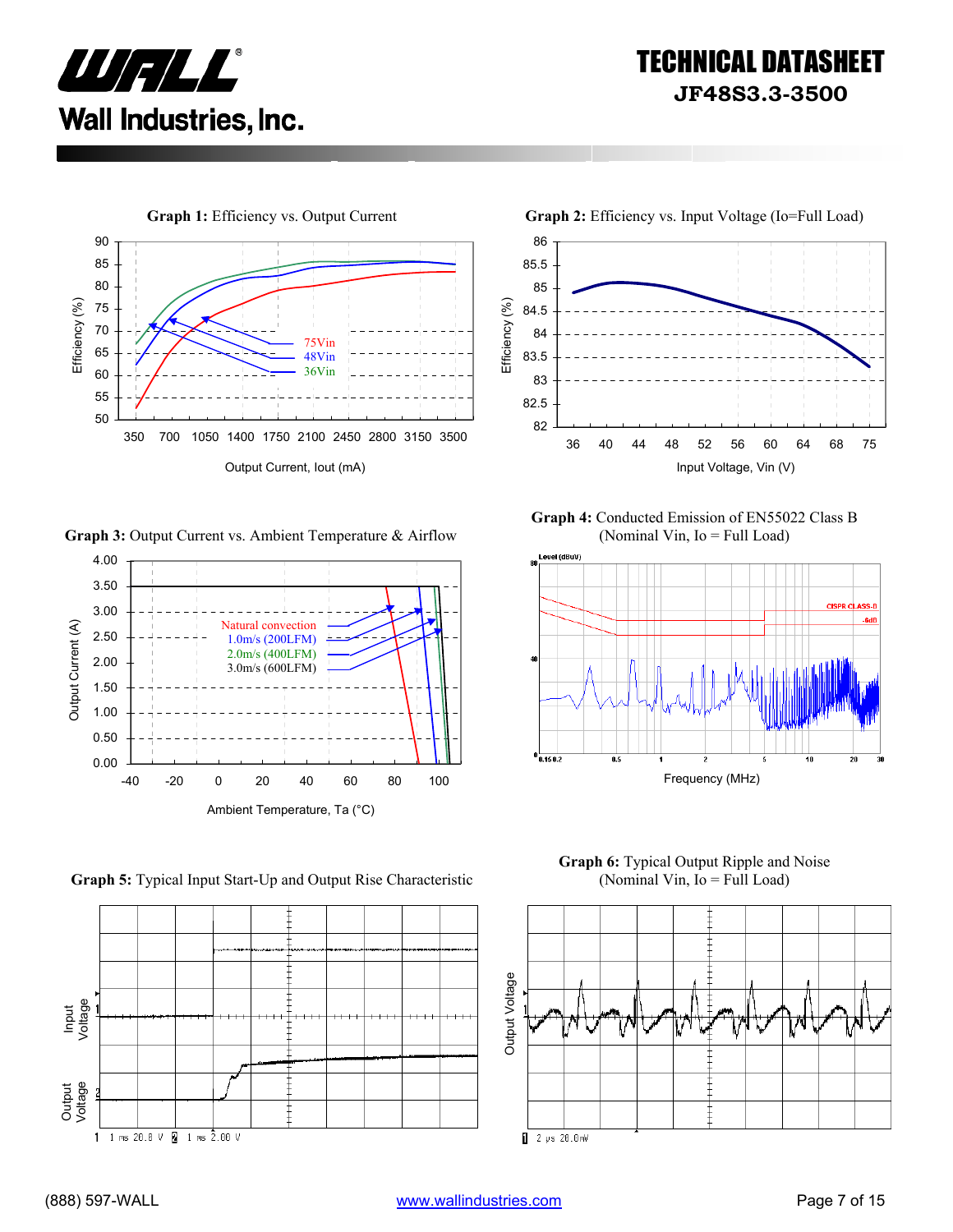



**Graph 3:** Output Current vs. Ambient Temperature & Airflow



86 85.5 85 Efficiency (%) Efficiency (%) 84.5 84 83.5 83 82.5 82 36 40 44 48 52 56 60 64 68 75 Output Current, Iout (mA) **Input Voltage, Vin (V)** Input Voltage, Vin (V)

**Graph 4:** Conducted Emission of EN55022 Class B (Nominal Vin, Io = Full Load)







**Graph 5:** Typical Input Start-Up and Output Rise Characteristic

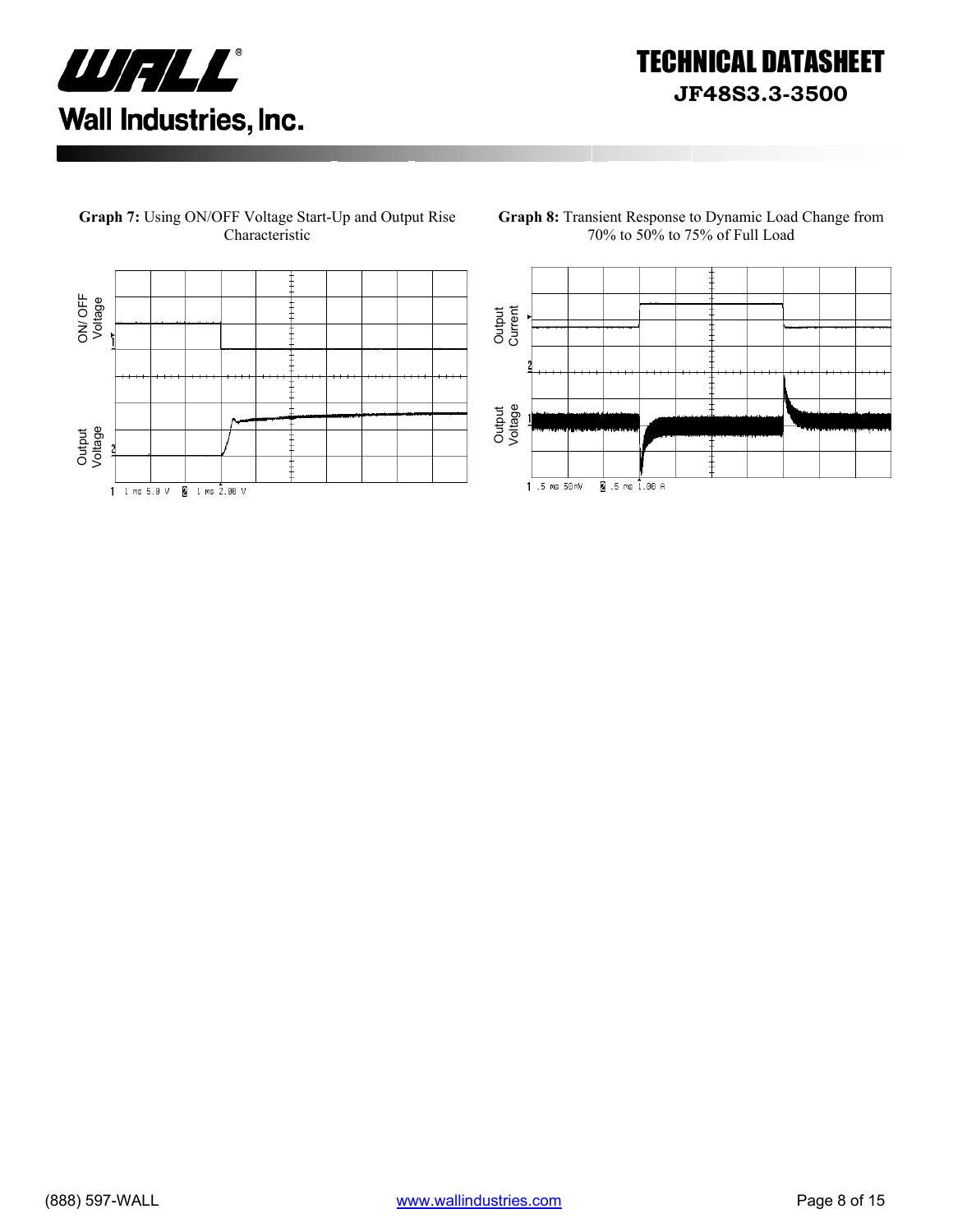



**Graph 7:** Using ON/OFF Voltage Start-Up and Output Rise

**Graph 8:** Transient Response to Dynamic Load Change from 70% to 50% to 75% of Full Load

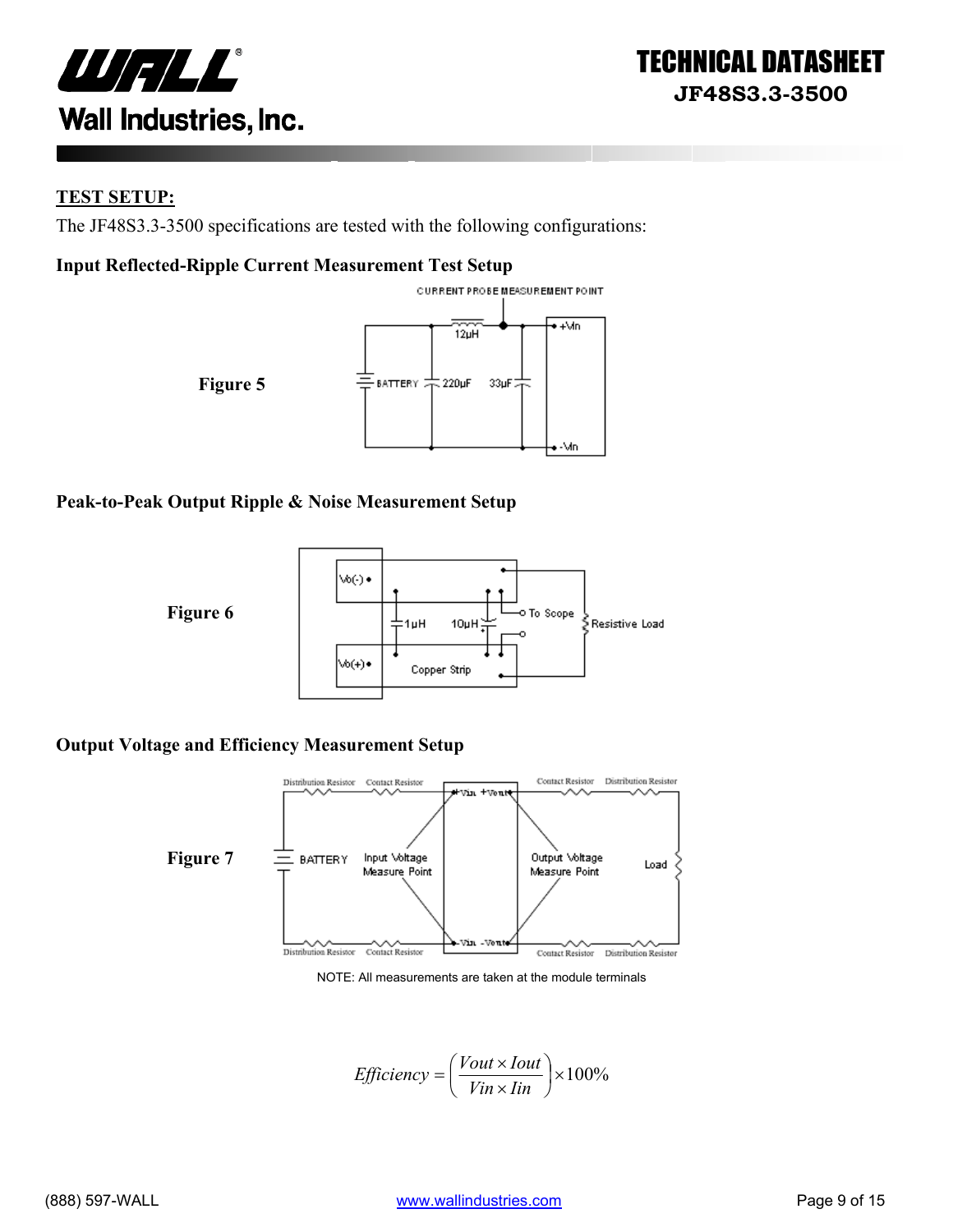



#### **TEST SETUP:**

The JF48S3.3-3500 specifications are tested with the following configurations:

#### **Input Reflected-Ripple Current Measurement Test Setup**



#### **Peak-to-Peak Output Ripple & Noise Measurement Setup**



#### **Output Voltage and Efficiency Measurement Setup**



NOTE: All measurements are taken at the module terminals

$$
Efficiency = \left(\frac{Vout \times Iout}{Vin \times lin}\right) \times 100\%
$$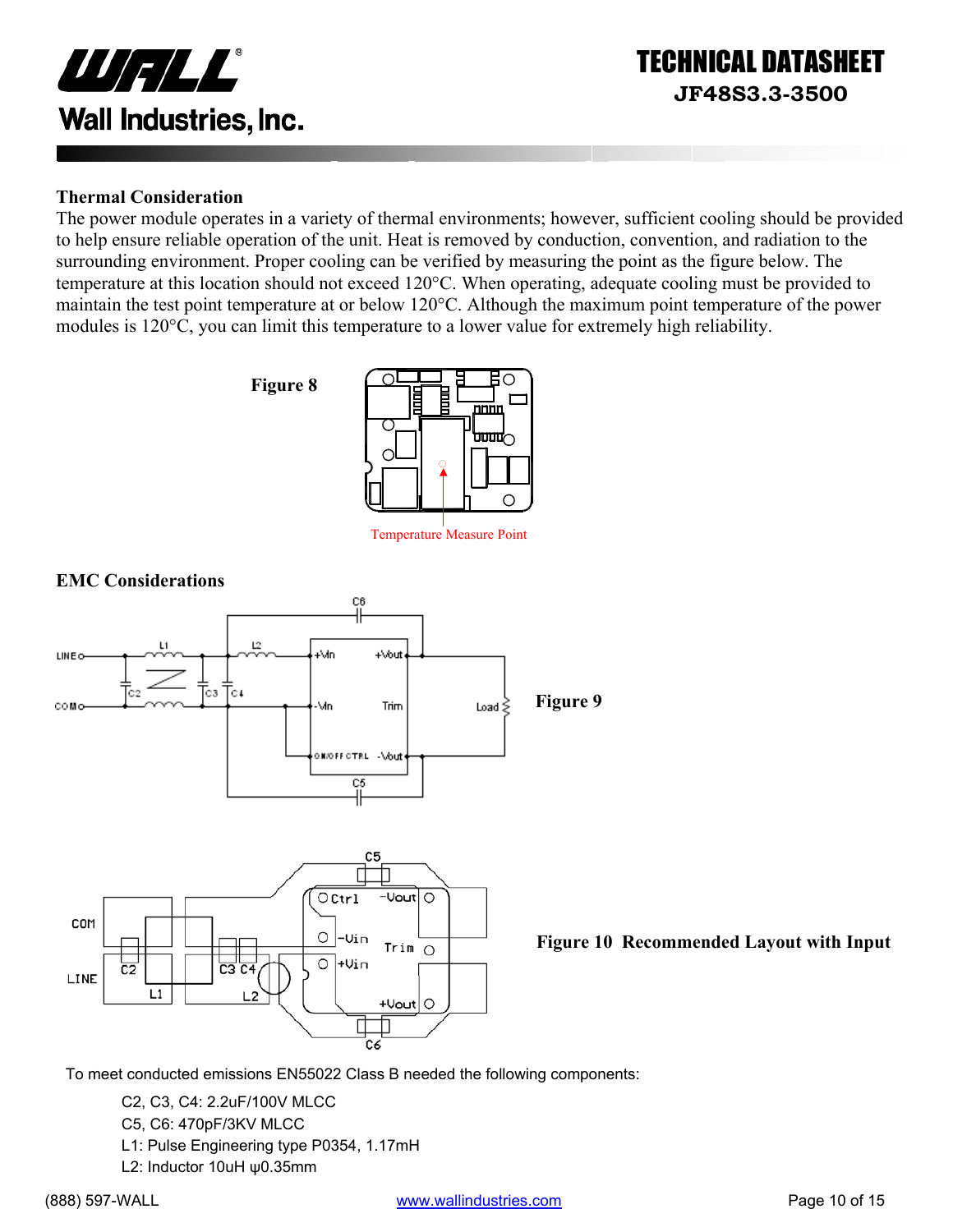

#### **Thermal Consideration**

The power module operates in a variety of thermal environments; however, sufficient cooling should be provided to help ensure reliable operation of the unit. Heat is removed by conduction, convention, and radiation to the surrounding environment. Proper cooling can be verified by measuring the point as the figure below. The temperature at this location should not exceed 120°C. When operating, adequate cooling must be provided to maintain the test point temperature at or below 120°C. Although the maximum point temperature of the power modules is 120°C, you can limit this temperature to a lower value for extremely high reliability.





Temperature Measure Point



**Figure 10 Recommended Layout with Input** 

To meet conducted emissions EN55022 Class B needed the following components:

- C2, C3, C4: 2.2uF/100V MLCC
- C5, C6: 470pF/3KV MLCC
- L1: Pulse Engineering type P0354, 1.17mH
- L2: Inductor 10uH ψ0.35mm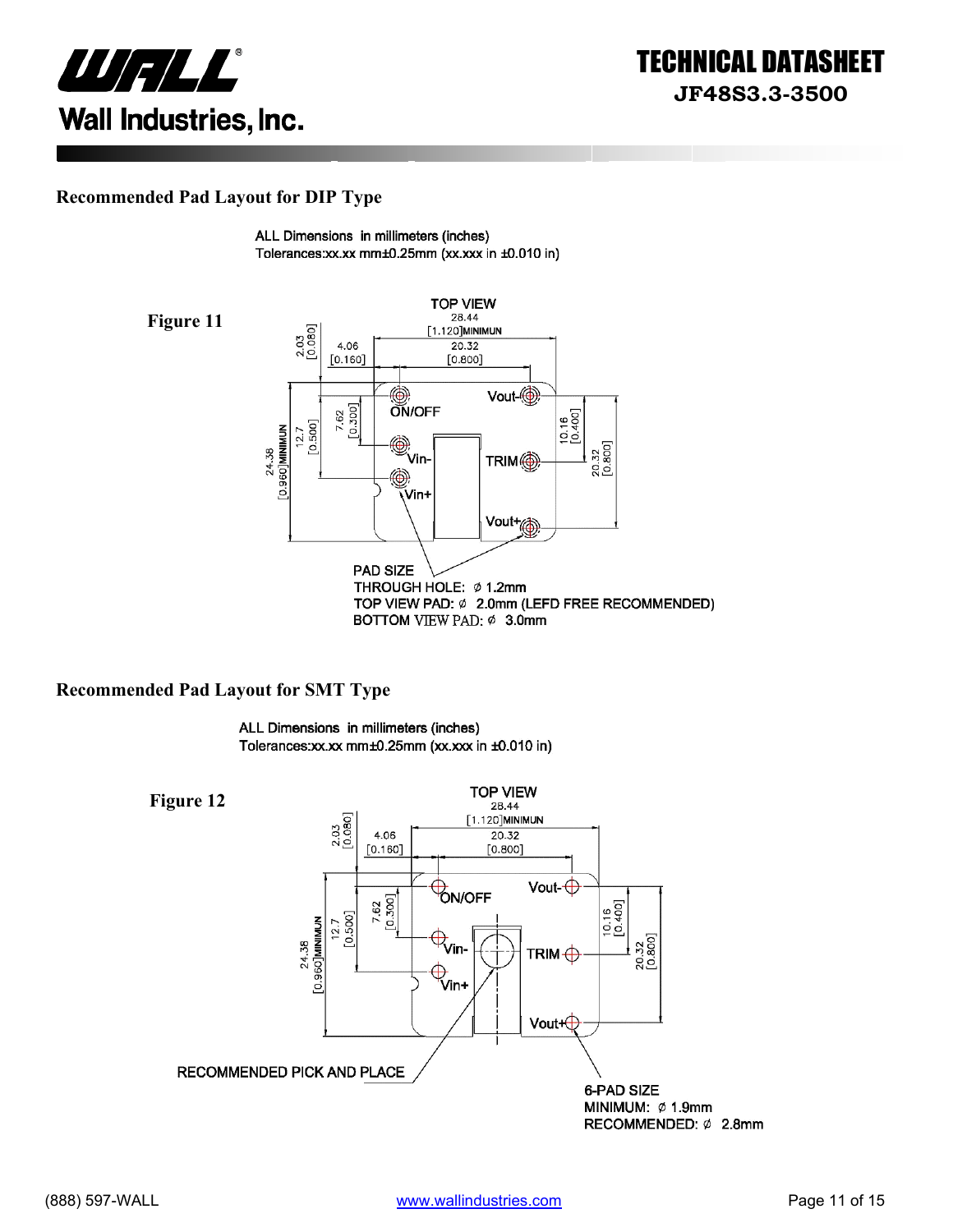![](_page_10_Picture_0.jpeg)

#### **Recommended Pad Layout for DIP Type**

ALL Dimensions in millimeters (inches) Tolerances:xx.xx mm±0.25mm (xx.xxx in ±0.010 in)

![](_page_10_Figure_4.jpeg)

#### **Recommended Pad Layout for SMT Type**

ALL Dimensions in millimeters (inches) Tolerances:xx.xx mm±0.25mm (xx.xxx in ±0.010 in)

**TOP VIEW Figure 12** 28.44 2.03<br>[0.080] [1.120]MINIMUN 4.06 20.32  $[0.160]$  $[0.800]$ Vout- $\bigoplus$ **ÓN/OFF** 7.62<br>[0.300]  $[0.16$ <br> $[0.400]$  $12.7$  [0.500] 24.38<br>[0.960]**MINIMUN**  $\bigoplus$ <sub>Vin-</sub> 20.32<br>[0.800] TRIM $\bigoplus$ ⊕<br>Vin+ Vout+⊕ RECOMMENDED PICK AND PLACE 6-PAD SIZE MINIMUM: Ø 1.9mm RECOMMENDED: Ø 2.8mm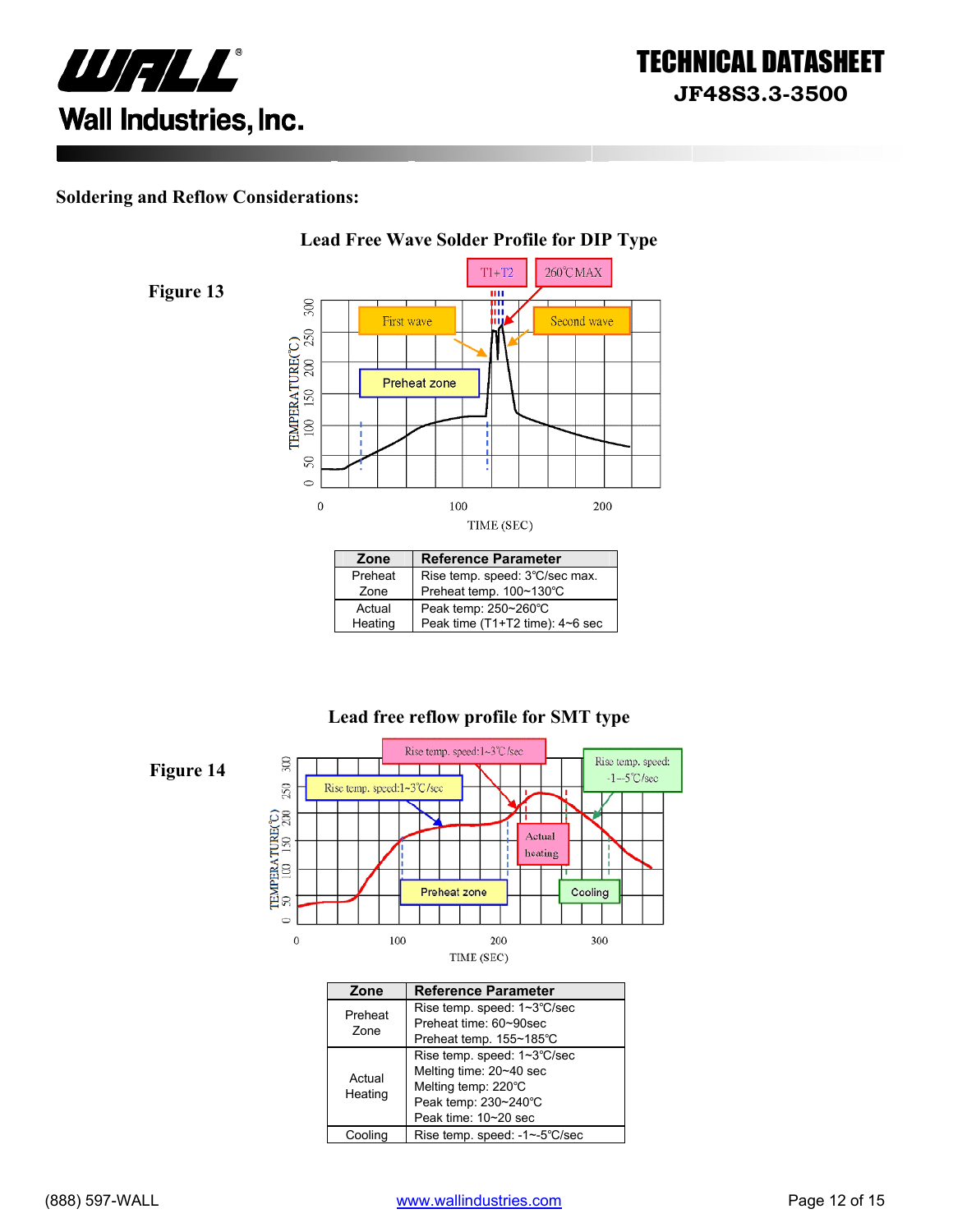![](_page_11_Picture_0.jpeg)

#### **Soldering and Reflow Considerations:**

**Figure 13** 

![](_page_11_Figure_3.jpeg)

| Zone    | <b>Reference Parameter</b>      |
|---------|---------------------------------|
| Preheat | Rise temp. speed: 3°C/sec max.  |
| Zone    | Preheat temp. 100~130°C         |
| Actual  | Peak temp: 250~260°C            |
| Heating | Peak time (T1+T2 time): 4~6 sec |

#### **Lead free reflow profile for SMT type**

![](_page_11_Figure_6.jpeg)

| Zone              | <b>Reference Parameter</b>                                                                                                    |
|-------------------|-------------------------------------------------------------------------------------------------------------------------------|
| Preheat<br>Zone   | Rise temp. speed: 1~3°C/sec<br>Preheat time: 60~90sec<br>Preheat temp. 155~185°C                                              |
| Actual<br>Heating | Rise temp. speed: 1~3°C/sec<br>Melting time: 20~40 sec<br>Melting temp: 220°C<br>Peak temp: 230~240°C<br>Peak time: 10~20 sec |
| Cooling           | Rise temp. speed: -1~-5°C/sec                                                                                                 |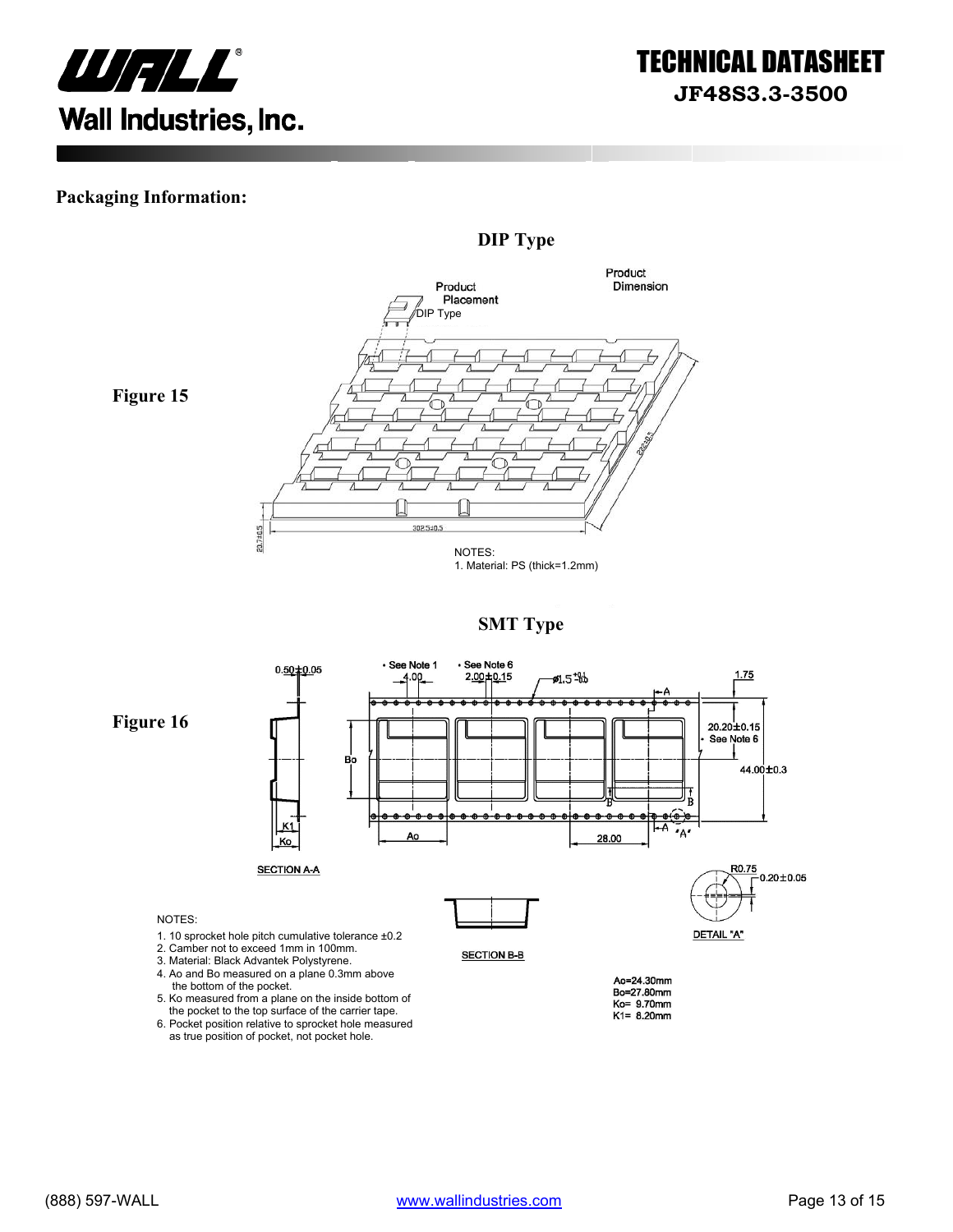![](_page_12_Picture_0.jpeg)

#### **Packaging Information:**

![](_page_12_Figure_3.jpeg)

**Figure 15** 

![](_page_12_Figure_5.jpeg)

![](_page_12_Figure_6.jpeg)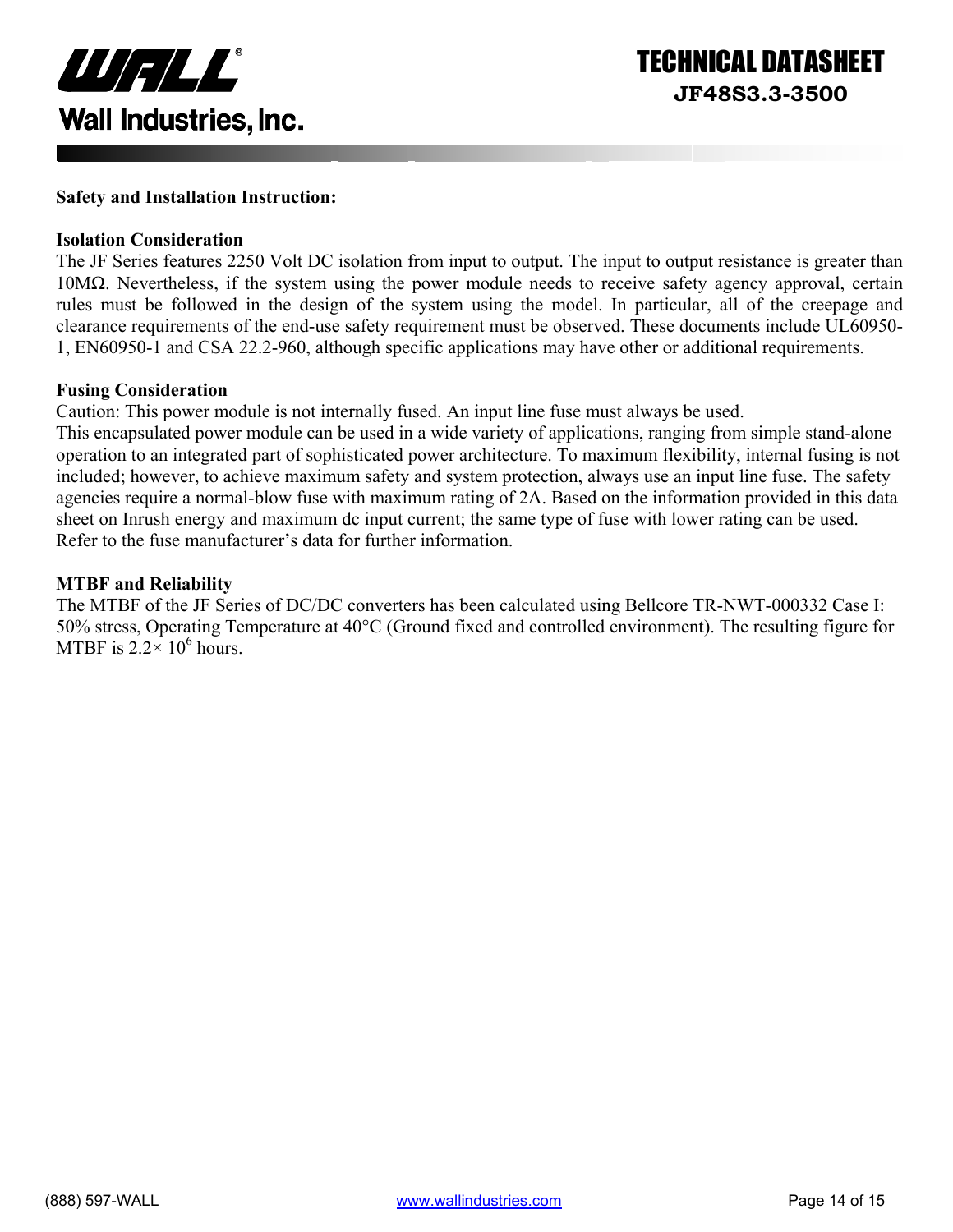![](_page_13_Picture_0.jpeg)

#### **Safety and Installation Instruction:**

#### **Isolation Consideration**

The JF Series features 2250 Volt DC isolation from input to output. The input to output resistance is greater than 10MΩ. Nevertheless, if the system using the power module needs to receive safety agency approval, certain rules must be followed in the design of the system using the model. In particular, all of the creepage and clearance requirements of the end-use safety requirement must be observed. These documents include UL60950- 1, EN60950-1 and CSA 22.2-960, although specific applications may have other or additional requirements.

#### **Fusing Consideration**

Caution: This power module is not internally fused. An input line fuse must always be used.

This encapsulated power module can be used in a wide variety of applications, ranging from simple stand-alone operation to an integrated part of sophisticated power architecture. To maximum flexibility, internal fusing is not included; however, to achieve maximum safety and system protection, always use an input line fuse. The safety agencies require a normal-blow fuse with maximum rating of 2A. Based on the information provided in this data sheet on Inrush energy and maximum dc input current; the same type of fuse with lower rating can be used. Refer to the fuse manufacturer's data for further information.

#### **MTBF and Reliability**

The MTBF of the JF Series of DC/DC converters has been calculated using Bellcore TR-NWT-000332 Case I: 50% stress, Operating Temperature at 40°C (Ground fixed and controlled environment). The resulting figure for MTBF is  $2.2 \times 10^6$  hours.